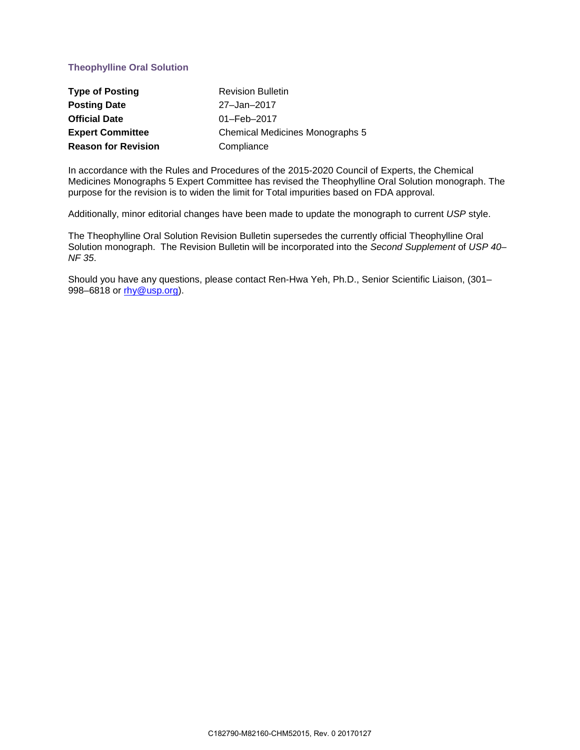## **Theophylline Oral Solution**

| <b>Type of Posting</b>     | <b>Revision Bulletin</b>        |
|----------------------------|---------------------------------|
| <b>Posting Date</b>        | 27-Jan-2017                     |
| <b>Official Date</b>       | $01 - \text{Feb} - 2017$        |
| <b>Expert Committee</b>    | Chemical Medicines Monographs 5 |
| <b>Reason for Revision</b> | Compliance                      |

In accordance with the Rules and Procedures of the 2015-2020 Council of Experts, the Chemical Medicines Monographs 5 Expert Committee has revised the Theophylline Oral Solution monograph. The purpose for the revision is to widen the limit for Total impurities based on FDA approval.

Additionally, minor editorial changes have been made to update the monograph to current *USP* style.

The Theophylline Oral Solution Revision Bulletin supersedes the currently official Theophylline Oral Solution monograph. The Revision Bulletin will be incorporated into the *Second Supplement* of *USP 40– NF 35*.

Should you have any questions, please contact Ren-Hwa Yeh, Ph.D., Senior Scientific Liaison, (301– 998–6818 or [rhy@usp.org\)](mailto:rhy@usp.org).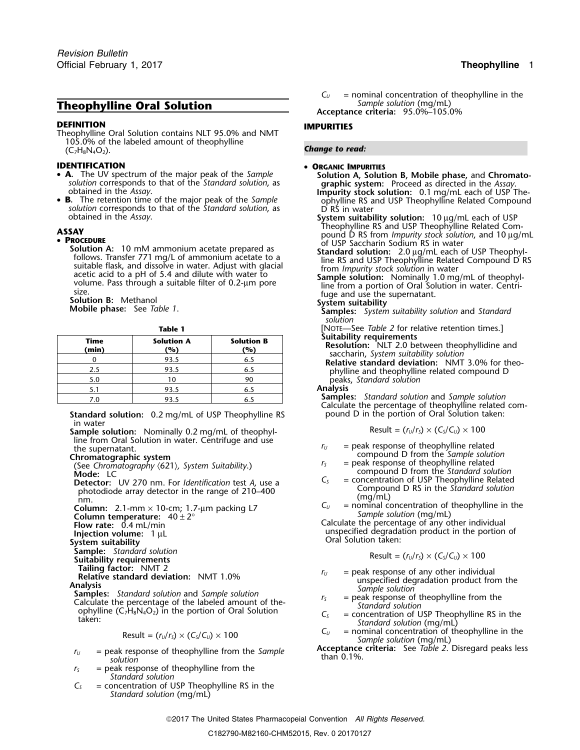# *Sample solution* (mg/mL) **Theophylline Oral Solution Acceptance criteria:** 95.0%–105.0%

### **DEFINITION IMPURITIES**

Theophylline Oral Solution contains NLT 95.0% and NMT 105.0% of the labeled amount of theophylline **Change to read: Change to read: Change to read: Change to read:** 

- **IDENTIFICATION** •• **<sup>A</sup>.** The UV spectrum of the major peak of the *Sample* **Solution A, Solution B, Mobile phase,** and **Chromato-**
- •**B** solution corresponds to that of the *Standard solution*, as D RS in water obtained in the *Assay*.

• **PROCEDURE**<br> **Solution A:** 10 mM ammonium acetate prepared as<br>
follows. Transfer 771 mg/L of ammonium acetate to a<br>
suitable flask, and dissolve in water. Adjust with glacial<br>
acetic acid to a pH of 5.4 and dilute with w

| ۰.<br>×<br>. .<br>٠<br>M. |
|---------------------------|
|---------------------------|

| Time<br>(min) | <b>Solution A</b><br>(%) | <b>Solution B</b><br>(%) |  |
|---------------|--------------------------|--------------------------|--|
|               | 93.5                     | 6.5                      |  |
| 2.5           | 93.5                     | 6.5                      |  |
| 5.0           | 10                       | 90                       |  |
| 5.1           | 93.5                     | 6.5                      |  |
| '.C           | 93.5                     | o.:                      |  |

**Standard solution:** 0.2 mg/mL of USP Theophylline RS pound D in the portion of Oral Solution taken: in water

**Sample solution:** Nominally 0.2 mg/mL of theophylline from Oral Solution in water. Centrifuge and use The Houris Chromatography (621), System Suitability.) The supervalue of the supervalue of the supervalue of the Chromatography (621), System Suitability.) The supervalue of the Sample solution of  $r_s$  and  $r_s$  and  $r_s$  ar

- **Detector:** UV 270 nm. For *Identification* test *A*, use a<br>
photodiode array detector in the range of 210–400<br>
compound D RS in the *Standard solution*<br>
column: 2.1-mm × 10-cm; 1.7-µm packing L7<br>
Column temperature: 40
- 

- **Sample:** *Standard solution*<br>**Suitability requirements**<br>**Tailing factor:** NMT 2
- 
- 

- 
- Concentration of Oral Solution *C*<sub>S</sub> = concentration of USP Theophylline RS in the ophylline C<sub>7</sub>H<sub>8</sub>N<sub>4</sub>O<sub>2</sub>) in the portion of Oral Solution  $C_s$  = concentration of USP Theophylline RS in the *Standard solution* (mg/mL

$$
Result = (r_U/r_S) \times (C_S/C_U) \times 100
$$

- *r*<sub>*U*</sub> = peak response of theophylline from the *Sample* **Acceptance** solution **peak** response of theophylline from the *Sample* than 0.1%.
- $r<sub>S</sub>$  = peak response of theophylline from the *Standard solution*
- *C<sup>S</sup>* = concentration of USP Theophylline RS in the *Standard solution* (mg/mL)

 $C_U$  = nominal concentration of theophylline in the Sample solution (mq/mL)

### **ORGANIC IMPURITIES**

- **A.** The UV spectrum of the major peak of the *Sample*<br>
solution **A**, **Solution B**, **Mobile phase**, and **Chromato-**<br>
solution corresponds to that of the *Standard solution*, as<br> **B.** The retention time of the major peak of
- System suitability solution: 10 µg/mL each of USP<br>Theophylline RS and USP Theophylline Related Com-Theophylline Relation RSAY<br> **PROCEDURE**<br>
Solution A: 10 mM ammonium acetate prepared as<br>
Solution A: 10 mM ammonium acetate prepared as<br> **Solution** A: 10 mM ammonium acetate prepared as
	-
	-
	-
	- *solution*

**Table 2 Table 2** for relative retention times.]<br>**Table 1 Colution B Suitability requirements** 

- Resolution: NLT 2.0 between theophyllidine and<br>saccharin, System suitability solution<br>Relative standard deviation: NMT 3.0% for theo-
- 2.5 93.5 6.5 phylline and theophylline related compound D 5.0 <sup>10</sup> <sup>90</sup> peaks, *Standard solution*

Analysis<br>Samples: Standard solution and Sample solution **Samples:** *Standard solution* and *Sample solution* 7.0 93.5 6.5 Calculate the percentage of theophylline related com-

$$
Result = (r_U/r_S) \times (C_S/C_U) \times 100
$$

- 
- 
- compound D from the *Standard solution*<br>C<sub>S</sub> = concentration of USP Theophylline Related
- 

Flow rate: 0.4 mL/min<br> **Injection volume:** 1 μL **Injection volume:** 1 μL Oral Solution taken:<br>
System suitability **Intervention of System suitability**<br>
System suitability

$$
Result = (r_U/r_S) \times (C_S/C_U) \times 100
$$

- **Tailing factor:** NMT 2<br> **Relative standard deviation:** NMT 1.0%<br> **Analysis**<br> **Samples:** Standard solution and Sample solution<br>
Calculate the percentage of the labeled amount of the-<br>
Calculate the percentage of the label
	-
	-
	- *C*<sub>*U*</sub> = nominal concentration of theophylline in the *Sample solution* (mg/mL)<br>**Acceptance criteria:** See *Table 2*. Disregard peaks less
	-